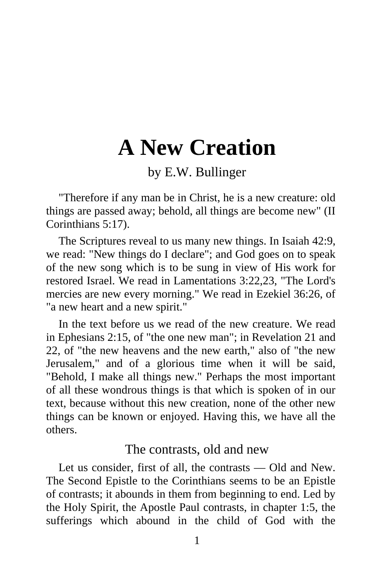# **A New Creation**

by E.W. Bullinger

"Therefore if any man be in Christ, he is a new creature: old things are passed away; behold, all things are become new" (II Corinthians 5:17).

The Scriptures reveal to us many new things. In Isaiah 42:9, we read: "New things do I declare"; and God goes on to speak of the new song which is to be sung in view of His work for restored Israel. We read in Lamentations 3:22,23, "The Lord's mercies are new every morning." We read in Ezekiel 36:26, of "a new heart and a new spirit."

In the text before us we read of the new creature. We read in Ephesians 2:15, of "the one new man"; in Revelation 21 and 22, of "the new heavens and the new earth," also of "the new Jerusalem," and of a glorious time when it will be said, "Behold, I make all things new." Perhaps the most important of all these wondrous things is that which is spoken of in our text, because without this new creation, none of the other new things can be known or enjoyed. Having this, we have all the others.

#### The contrasts, old and new

Let us consider, first of all, the contrasts — Old and New. The Second Epistle to the Corinthians seems to be an Epistle of contrasts; it abounds in them from beginning to end. Led by the Holy Spirit, the Apostle Paul contrasts, in chapter 1:5, the sufferings which abound in the child of God with the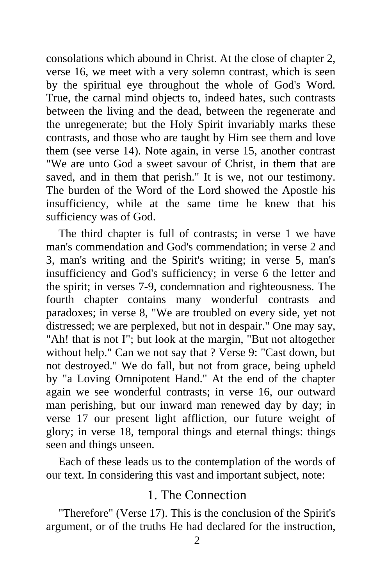consolations which abound in Christ. At the close of chapter 2, verse 16, we meet with a very solemn contrast, which is seen by the spiritual eye throughout the whole of God's Word. True, the carnal mind objects to, indeed hates, such contrasts between the living and the dead, between the regenerate and the unregenerate; but the Holy Spirit invariably marks these contrasts, and those who are taught by Him see them and love them (see verse 14). Note again, in verse 15, another contrast "We are unto God a sweet savour of Christ, in them that are saved, and in them that perish." It is we, not our testimony. The burden of the Word of the Lord showed the Apostle his insufficiency, while at the same time he knew that his sufficiency was of God.

The third chapter is full of contrasts; in verse 1 we have man's commendation and God's commendation; in verse 2 and 3, man's writing and the Spirit's writing; in verse 5, man's insufficiency and God's sufficiency; in verse 6 the letter and the spirit; in verses 7-9, condemnation and righteousness. The fourth chapter contains many wonderful contrasts and paradoxes; in verse 8, "We are troubled on every side, yet not distressed; we are perplexed, but not in despair." One may say, "Ah! that is not I"; but look at the margin, "But not altogether without help." Can we not say that ? Verse 9: "Cast down, but not destroyed." We do fall, but not from grace, being upheld by "a Loving Omnipotent Hand." At the end of the chapter again we see wonderful contrasts; in verse 16, our outward man perishing, but our inward man renewed day by day; in verse 17 our present light affliction, our future weight of glory; in verse 18, temporal things and eternal things: things seen and things unseen.

Each of these leads us to the contemplation of the words of our text. In considering this vast and important subject, note:

### 1. The Connection

"Therefore" (Verse 17). This is the conclusion of the Spirit's argument, or of the truths He had declared for the instruction,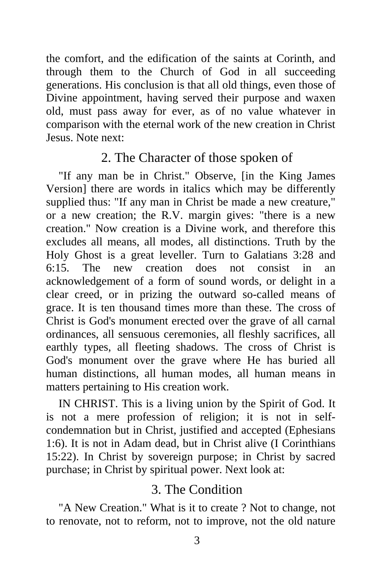the comfort, and the edification of the saints at Corinth, and through them to the Church of God in all succeeding generations. His conclusion is that all old things, even those of Divine appointment, having served their purpose and waxen old, must pass away for ever, as of no value whatever in comparison with the eternal work of the new creation in Christ Jesus. Note next:

# 2. The Character of those spoken of

"If any man be in Christ." Observe, [in the King James Version] there are words in italics which may be differently supplied thus: "If any man in Christ be made a new creature," or a new creation; the R.V. margin gives: "there is a new creation." Now creation is a Divine work, and therefore this excludes all means, all modes, all distinctions. Truth by the Holy Ghost is a great leveller. Turn to Galatians 3:28 and 6:15. The new creation does not consist in an acknowledgement of a form of sound words, or delight in a clear creed, or in prizing the outward so-called means of grace. It is ten thousand times more than these. The cross of Christ is God's monument erected over the grave of all carnal ordinances, all sensuous ceremonies, all fleshly sacrifices, all earthly types, all fleeting shadows. The cross of Christ is God's monument over the grave where He has buried all human distinctions, all human modes, all human means in matters pertaining to His creation work.

IN CHRIST. This is a living union by the Spirit of God. It is not a mere profession of religion; it is not in selfcondemnation but in Christ, justified and accepted (Ephesians 1:6). It is not in Adam dead, but in Christ alive (I Corinthians 15:22). In Christ by sovereign purpose; in Christ by sacred purchase; in Christ by spiritual power. Next look at:

# 3. The Condition

"A New Creation." What is it to create ? Not to change, not to renovate, not to reform, not to improve, not the old nature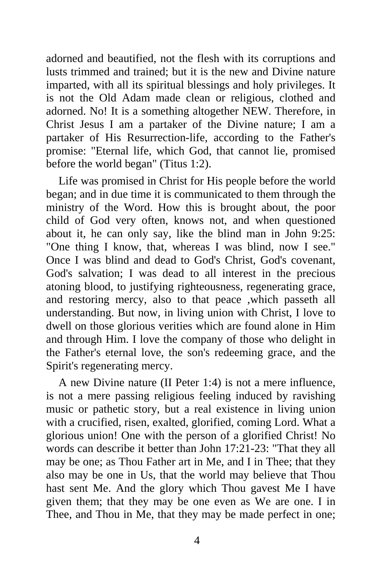adorned and beautified, not the flesh with its corruptions and lusts trimmed and trained; but it is the new and Divine nature imparted, with all its spiritual blessings and holy privileges. It is not the Old Adam made clean or religious, clothed and adorned. No! It is a something altogether NEW. Therefore, in Christ Jesus I am a partaker of the Divine nature; I am a partaker of His Resurrection-life, according to the Father's promise: "Eternal life, which God, that cannot lie, promised before the world began" (Titus 1:2).

Life was promised in Christ for His people before the world began; and in due time it is communicated to them through the ministry of the Word. How this is brought about, the poor child of God very often, knows not, and when questioned about it, he can only say, like the blind man in John 9:25: "One thing I know, that, whereas I was blind, now I see." Once I was blind and dead to God's Christ, God's covenant, God's salvation; I was dead to all interest in the precious atoning blood, to justifying righteousness, regenerating grace, and restoring mercy, also to that peace ,which passeth all understanding. But now, in living union with Christ, I love to dwell on those glorious verities which are found alone in Him and through Him. I love the company of those who delight in the Father's eternal love, the son's redeeming grace, and the Spirit's regenerating mercy.

A new Divine nature (II Peter 1:4) is not a mere influence, is not a mere passing religious feeling induced by ravishing music or pathetic story, but a real existence in living union with a crucified, risen, exalted, glorified, coming Lord. What a glorious union! One with the person of a glorified Christ! No words can describe it better than John 17:21-23: "That they all may be one; as Thou Father art in Me, and I in Thee; that they also may be one in Us, that the world may believe that Thou hast sent Me. And the glory which Thou gavest Me I have given them; that they may be one even as We are one. I in Thee, and Thou in Me, that they may be made perfect in one;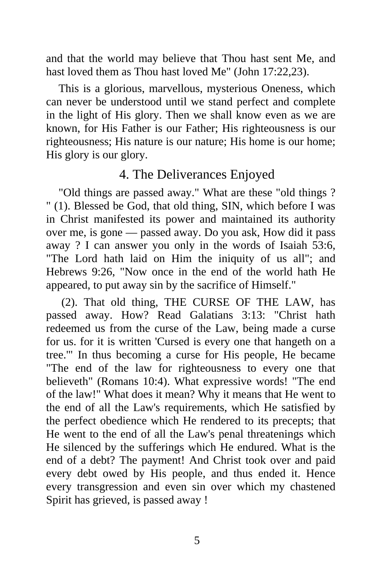and that the world may believe that Thou hast sent Me, and hast loved them as Thou hast loved Me" (John 17:22,23).

This is a glorious, marvellous, mysterious Oneness, which can never be understood until we stand perfect and complete in the light of His glory. Then we shall know even as we are known, for His Father is our Father; His righteousness is our righteousness; His nature is our nature; His home is our home; His glory is our glory.

# 4. The Deliverances Enjoyed

"Old things are passed away." What are these "old things ? " (1). Blessed be God, that old thing, SIN, which before I was in Christ manifested its power and maintained its authority over me, is gone — passed away. Do you ask, How did it pass away ? I can answer you only in the words of Isaiah 53:6, "The Lord hath laid on Him the iniquity of us all"; and Hebrews 9:26, "Now once in the end of the world hath He appeared, to put away sin by the sacrifice of Himself."

 (2). That old thing, THE CURSE OF THE LAW, has passed away. How? Read Galatians 3:13: "Christ hath redeemed us from the curse of the Law, being made a curse for us. for it is written 'Cursed is every one that hangeth on a tree.'" In thus becoming a curse for His people, He became "The end of the law for righteousness to every one that believeth" (Romans 10:4). What expressive words! "The end of the law!" What does it mean? Why it means that He went to the end of all the Law's requirements, which He satisfied by the perfect obedience which He rendered to its precepts; that He went to the end of all the Law's penal threatenings which He silenced by the sufferings which He endured. What is the end of a debt? The payment! And Christ took over and paid every debt owed by His people, and thus ended it. Hence every transgression and even sin over which my chastened Spirit has grieved, is passed away !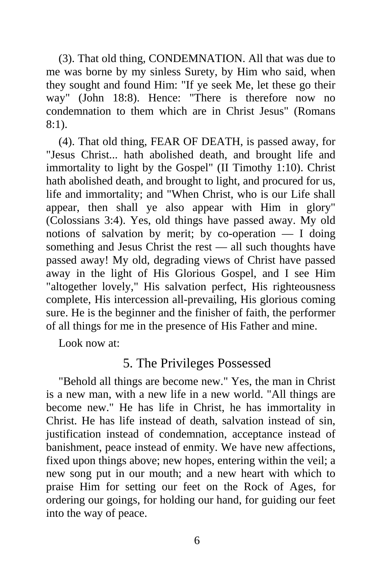(3). That old thing, CONDEMNATION. All that was due to me was borne by my sinless Surety, by Him who said, when they sought and found Him: "If ye seek Me, let these go their way" (John 18:8). Hence: "There is therefore now no condemnation to them which are in Christ Jesus" (Romans 8:1).

(4). That old thing, FEAR OF DEATH, is passed away, for "Jesus Christ... hath abolished death, and brought life and immortality to light by the Gospel" (II Timothy 1:10). Christ hath abolished death, and brought to light, and procured for us, life and immortality; and "When Christ, who is our Life shall appear, then shall ye also appear with Him in glory" (Colossians 3:4). Yes, old things have passed away. My old notions of salvation by merit; by co-operation  $- I$  doing something and Jesus Christ the rest — all such thoughts have passed away! My old, degrading views of Christ have passed away in the light of His Glorious Gospel, and I see Him "altogether lovely," His salvation perfect, His righteousness complete, His intercession all-prevailing, His glorious coming sure. He is the beginner and the finisher of faith, the performer of all things for me in the presence of His Father and mine.

Look now at:

# 5. The Privileges Possessed

"Behold all things are become new." Yes, the man in Christ is a new man, with a new life in a new world. "All things are become new." He has life in Christ, he has immortality in Christ. He has life instead of death, salvation instead of sin, justification instead of condemnation, acceptance instead of banishment, peace instead of enmity. We have new affections, fixed upon things above; new hopes, entering within the veil; a new song put in our mouth; and a new heart with which to praise Him for setting our feet on the Rock of Ages, for ordering our goings, for holding our hand, for guiding our feet into the way of peace.